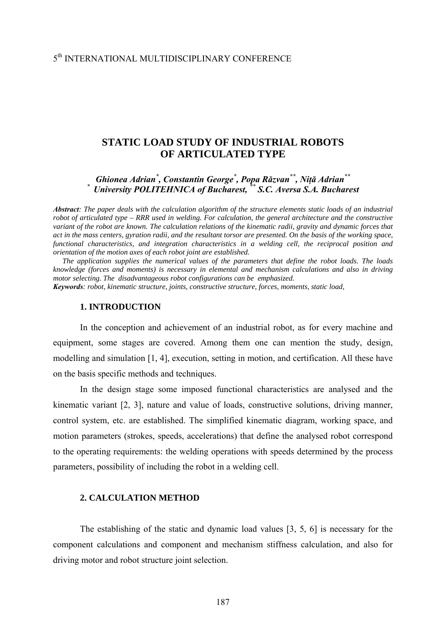## 5th INTERNATIONAL MULTIDISCIPLINARY CONFERENCE

# **STATIC LOAD STUDY OF INDUSTRIAL ROBOTS OF ARTICULATED TYPE**

*Ghionea Adrian\* , Constantin George\* , Popa Răzvan\*\*, Niţă Adrian\*\* \* University POLITEHNICA of Bucharest, \*\* S.C. Aversa S.A. Bucharest* 

*Abstract: The paper deals with the calculation algorithm of the structure elements static loads of an industrial robot of articulated type – RRR used in welding. For calculation, the general architecture and the constructive variant of the robot are known. The calculation relations of the kinematic radii, gravity and dynamic forces that act in the mass centers, gyration radii, and the resultant torsor are presented. On the basis of the working space, functional characteristics, and integration characteristics in a welding cell, the reciprocal position and orientation of the motion axes of each robot joint are established.* 

 *The application supplies the numerical values of the parameters that define the robot loads. The loads knowledge (forces and moments) is necessary in elemental and mechanism calculations and also in driving motor selecting. The disadvantageous robot configurations can be emphasized.*

*Keywords: robot, kinematic structure, joints, constructive structure, forces, moments, static load,* 

### **1. INTRODUCTION**

 In the conception and achievement of an industrial robot, as for every machine and equipment, some stages are covered. Among them one can mention the study, design, modelling and simulation [1, 4], execution, setting in motion, and certification. All these have on the basis specific methods and techniques.

In the design stage some imposed functional characteristics are analysed and the kinematic variant [2, 3], nature and value of loads, constructive solutions, driving manner, control system, etc. are established. The simplified kinematic diagram, working space, and motion parameters (strokes, speeds, accelerations) that define the analysed robot correspond to the operating requirements: the welding operations with speeds determined by the process parameters, possibility of including the robot in a welding cell.

## **2. CALCULATION METHOD**

The establishing of the static and dynamic load values [3, 5, 6] is necessary for the component calculations and component and mechanism stiffness calculation, and also for driving motor and robot structure joint selection.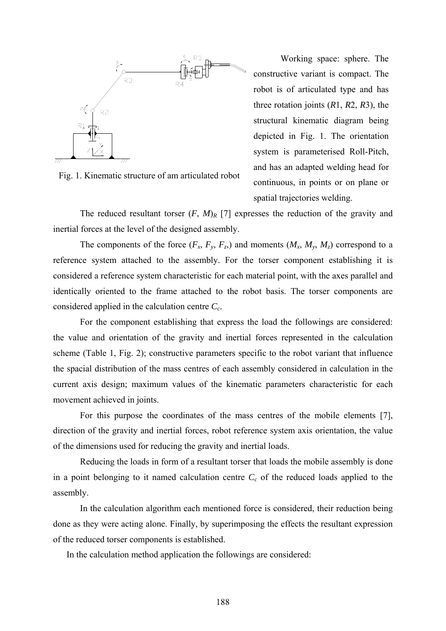

Fig. 1. Kinematic structure of am articulated robot

Working space: sphere. The constructive variant is compact. The robot is of articulated type and has three rotation joints (*R*1, *R*2, *R*3), the structural kinematic diagram being depicted in Fig. 1. The orientation system is parameterised Roll-Pitch, and has an adapted welding head for continuous, in points or on plane or spatial trajectories welding.

The reduced resultant torser  $(F, M)_R$  [7] expresses the reduction of the gravity and inertial forces at the level of the designed assembly.

The components of the force  $(F_x, F_y, F_z)$  and moments  $(M_x, M_y, M_z)$  correspond to a reference system attached to the assembly. For the torser component establishing it is considered a reference system characteristic for each material point, with the axes parallel and identically oriented to the frame attached to the robot basis. The torser components are considered applied in the calculation centre *Cc*.

For the component establishing that express the load the followings are considered: the value and orientation of the gravity and inertial forces represented in the calculation scheme (Table 1, Fig. 2); constructive parameters specific to the robot variant that influence the spacial distribution of the mass centres of each assembly considered in calculation in the current axis design; maximum values of the kinematic parameters characteristic for each movement achieved in joints.

For this purpose the coordinates of the mass centres of the mobile elements [7], direction of the gravity and inertial forces, robot reference system axis orientation, the value of the dimensions used for reducing the gravity and inertial loads.

Reducing the loads in form of a resultant torser that loads the mobile assembly is done in a point belonging to it named calculation centre  $C_c$  of the reduced loads applied to the assembly.

In the calculation algorithm each mentioned force is considered, their reduction being done as they were acting alone. Finally, by superimposing the effects the resultant expression of the reduced torser components is established.

In the calculation method application the followings are considered: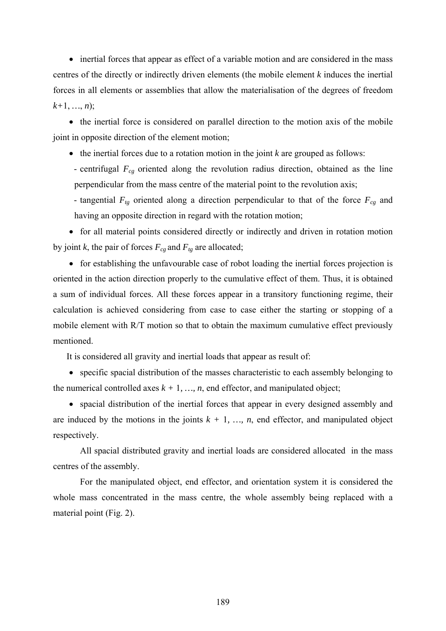• inertial forces that appear as effect of a variable motion and are considered in the mass centres of the directly or indirectly driven elements (the mobile element *k* induces the inertial forces in all elements or assemblies that allow the materialisation of the degrees of freedom  $k+1, ..., n$ ;

• the inertial force is considered on parallel direction to the motion axis of the mobile joint in opposite direction of the element motion;

• the inertial forces due to a rotation motion in the joint *k* are grouped as follows:

- centrifugal  $F_{cg}$  oriented along the revolution radius direction, obtained as the line perpendicular from the mass centre of the material point to the revolution axis;

- tangential  $F_{tg}$  oriented along a direction perpendicular to that of the force  $F_{cg}$  and having an opposite direction in regard with the rotation motion;

• for all material points considered directly or indirectly and driven in rotation motion by joint *k*, the pair of forces  $F_{cg}$  and  $F_{tg}$  are allocated;

• for establishing the unfavourable case of robot loading the inertial forces projection is oriented in the action direction properly to the cumulative effect of them. Thus, it is obtained a sum of individual forces. All these forces appear in a transitory functioning regime, their calculation is achieved considering from case to case either the starting or stopping of a mobile element with R/T motion so that to obtain the maximum cumulative effect previously mentioned.

It is considered all gravity and inertial loads that appear as result of:

• specific spacial distribution of the masses characteristic to each assembly belonging to the numerical controlled axes  $k + 1, ..., n$ , end effector, and manipulated object;

• spacial distribution of the inertial forces that appear in every designed assembly and are induced by the motions in the joints  $k + 1, \ldots, n$ , end effector, and manipulated object respectively.

All spacial distributed gravity and inertial loads are considered allocated in the mass centres of the assembly.

For the manipulated object, end effector, and orientation system it is considered the whole mass concentrated in the mass centre, the whole assembly being replaced with a material point (Fig. 2).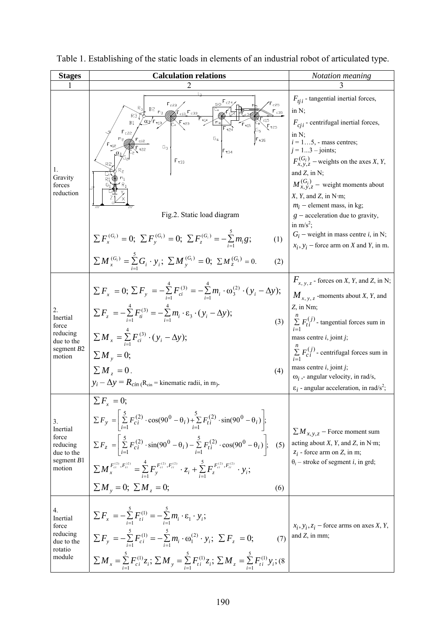| <b>Stages</b>                                                               | <b>Calculation relations</b>                                                                                                                                                                                                                                                                                                                                                                                                                                                                                                                                         | Notation meaning                                                                                                                                                                                                                                                                                                                                                                                                 |
|-----------------------------------------------------------------------------|----------------------------------------------------------------------------------------------------------------------------------------------------------------------------------------------------------------------------------------------------------------------------------------------------------------------------------------------------------------------------------------------------------------------------------------------------------------------------------------------------------------------------------------------------------------------|------------------------------------------------------------------------------------------------------------------------------------------------------------------------------------------------------------------------------------------------------------------------------------------------------------------------------------------------------------------------------------------------------------------|
|                                                                             |                                                                                                                                                                                                                                                                                                                                                                                                                                                                                                                                                                      |                                                                                                                                                                                                                                                                                                                                                                                                                  |
| 1.<br>Gravity<br>forces<br>reduction                                        | r c25<br>, B2<br>$\mathsf{F_{c35}}$<br>B1<br>$F_{\rm t15}$<br>$F_{c22}$<br>$G_3$<br>$F_{t33}$<br>Fig.2. Static load diagram                                                                                                                                                                                                                                                                                                                                                                                                                                          | $F_{tji}$ - tangential inertial forces,<br>in $N$ ;<br>$F_{cii}$ - centrifugal inertial forces,<br>in N;<br>$i = 15$ , - mass centres;<br>$j = 13 - \text{joints}$ ;<br>$F_{x, y, z}^{(G_i)}$ – weights on the axes X, Y,<br>and $Z$ , in N;<br>$M_{x, y, z}^{(G_i)}$ – weight moments about<br>X, Y, and Z, in N·m;<br>$m_i$ – element mass, in kg;<br>$g$ – acceleration due to gravity,<br>in $m/s^2$ ;       |
|                                                                             | $\sum F_x^{(G_i)} = 0$ ; $\sum F_y^{(G_i)} = 0$ ; $\sum F_z^{(G_i)} = -\sum_{i=1}^{5} m_i g$ ;<br>(1)<br>$\sum M_{x}^{(G_i)} = \sum_{i=1}^{8} G_i \cdot y_i; \ \sum M_{y}^{(G_i)} = 0; \ \sum M_{z}^{(G_i)} = 0.$<br>(2)                                                                                                                                                                                                                                                                                                                                             | $G_i$ – weight in mass centre <i>i</i> , in N;<br>$x_i$ , $y_i$ – force arm on X and Y, in m.                                                                                                                                                                                                                                                                                                                    |
| 2.<br>Inertial<br>force<br>reducing<br>due to the<br>segment $B2$<br>motion | $\sum F_x = 0$ ; $\sum F_y = -\sum_{i=1}^{4} F_{ci}^{(3)} = -\sum_{i=1}^{4} m_i \cdot \omega_3^{(2)} \cdot (y_i - \Delta y)$ ;<br>$\sum F_z = -\sum_{i=1}^{4} F_{ii}^{(3)} = -\sum_{i=1}^{4} m_i \cdot \varepsilon_3 \cdot (y_i - \Delta y);$<br>$\sum M_{x} = \sum_{i=1}^{4} F_{ci}^{(3)} \cdot (y_i - \Delta y);$<br>$\sum M_{v} = 0;$<br>$\sum M_{\scriptscriptstyle T} = 0$ .<br>(4)<br>$y_i - \Delta y = R_{\text{cin}}$ (R <sub>cin</sub> = kinematic radii, in m).                                                                                            | $F_{x, y, z}$ - forces on X, Y, and Z, in N;<br>$M_{x, y, z}$ -moments about X, Y, and<br>Z, in Nm;<br>(3) $\sum_{i=1}^{n} F_{ti}^{(j)}$ - tangential forces sum in<br>mass centre $i$ , joint $j$ ;<br>$\sum_{i=1}^{n} F_{ci}^{(j)}$ - centrifugal forces sum in<br>mass centre $i$ , joint $j$ ;<br>$\omega_i$ , - angular velocity, in rad/s,<br>$\epsilon_i$ - angular acceleration, in rad/s <sup>2</sup> ; |
| 3.<br>Inertial<br>force<br>reducing<br>due to the<br>segment $B1$<br>motion | $\sum F_{r} = 0$ ;<br>$\sum F_y = \left  \sum_{i=1}^{5} F_{ci}^{(2)} \cdot \cos(90^\circ - \theta_i) + \sum_{i=1}^{5} F_{ti}^{(2)} \cdot \sin(90^\circ - \theta_i) \right ;$<br>$\sum F_z = \left  \sum_{i=1}^{5} F_{ci}^{(2)} \cdot \sin(90^\circ - \theta_i) - \sum_{i=1}^{5} F_{ti}^{(2)} \cdot \cos(90^\circ - \theta_i) \right ;$ (5)<br>$\sum M_{x}^{F_{ci}^{(2)}, F_{ii}^{(2)}} = \sum_{i=1}^{4} F_{y}^{F_{ci}^{(2)}, F_{ii}^{(2)}} \cdot z_i + \sum_{i=1}^{5} F_{z}^{F_{ci}^{(2)}, F_{ii}^{(2)}} \cdot y_i;$<br>$\sum M_{v} = 0$ ; $\sum M_{z} = 0$ ;<br>(6) | $\sum M_{x,y,z}$ – Force moment sum<br>acting about $X$ , $Y$ , and $Z$ , in N·m;<br>$z_i$ - force arm on Z, in m;<br>$\theta_i$ – stroke of segment <i>i</i> , in grd;                                                                                                                                                                                                                                          |
| 4.<br>Inertial<br>force<br>reducing<br>due to the<br>rotatio<br>module      | $\sum F_x = -\sum_{i=1}^{5} F_{ti}^{(1)} = -\sum_{i=1}^{5} m_i \cdot \varepsilon_1 \cdot y_i;$<br>$\sum F_y = -\sum_{i=1}^5 F_{ci}^{(1)} = -\sum_{i=1}^5 m_i \cdot \omega_1^{(2)} \cdot y_i; \ \sum F_z = 0;$<br>(7)<br>$\sum M_{x} = \sum_{i=1}^{5} F_{ci}^{(1)} z_{i}; \sum M_{y} = \sum_{i=1}^{5} F_{ti}^{(1)} z_{i}; \sum M_{z} = \sum_{i=1}^{5} F_{ti}^{(1)} y_{i};$ (8)                                                                                                                                                                                        | $x_i, y_i, z_i$ – force arms on axes X, Y,<br>and $Z$ , in mm;                                                                                                                                                                                                                                                                                                                                                   |

Table 1. Establishing of the static loads in elements of an industrial robot of articulated type.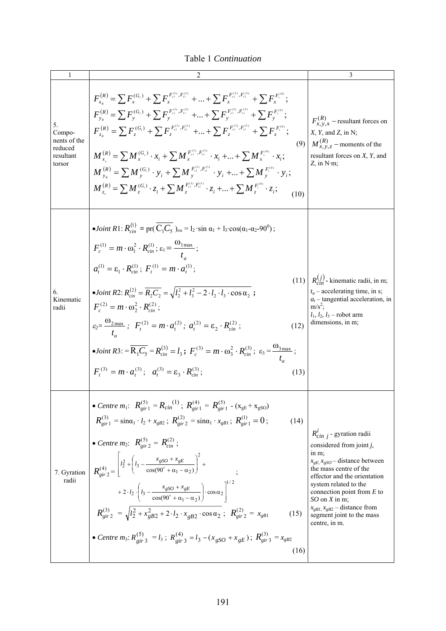Table 1 *Continuation* 

| 1                                                              | 2                                                                                                                                                                                                                                                                                                                                                                                                                                                                                                                                                                                                                                                                                                                                                                                                                                                                                                                                                                     | 3                                                                                                                                                                                                                                                                                                                                                |
|----------------------------------------------------------------|-----------------------------------------------------------------------------------------------------------------------------------------------------------------------------------------------------------------------------------------------------------------------------------------------------------------------------------------------------------------------------------------------------------------------------------------------------------------------------------------------------------------------------------------------------------------------------------------------------------------------------------------------------------------------------------------------------------------------------------------------------------------------------------------------------------------------------------------------------------------------------------------------------------------------------------------------------------------------|--------------------------------------------------------------------------------------------------------------------------------------------------------------------------------------------------------------------------------------------------------------------------------------------------------------------------------------------------|
| 5.<br>Compo-<br>nents of the<br>reduced<br>resultant<br>torsor | $F_{r}^{(R)} = \sum F_{r}^{(G_i)} + \sum F_{r}^{F_{ci}^{(1)}, F_{ii}^{(1)}} +  + \sum F_{r}^{F_{ci}^{(3)}, F_{ii}^{(3)}} + \sum F_{r}^{F_{i}^{(0)}};$<br>$F_{v}^{(R)} = \sum F_v^{(G_i)} + \sum F_v^{F_{ci}^{(1)}, F_{ti}^{(1)}} +  + \sum F_v^{F_{ci}^{(3)}, F_{ti}^{(3)}} + \sum F_v^{F_i^{(0)}};$<br>$F_{z_e}^{(R)} = \sum F_z^{(G_i)} + \sum F_z^{F_{ei}^{(1)}, F_{ii}^{(1)}} +  + \sum F_z^{F_{ei}^{(3)}, F_{ii}^{(3)}} + \sum F_z^{F_i^{(0)}};$<br>$M_{x}^{(R)} = \sum M_{x}^{(G_i)} \cdot x_i + \sum M_{x}^{F_{ci}^{(1)}, F_{ii}^{(1)}} \cdot x_i +  + \sum M_{x}^{F_i^{(0)}} \cdot x_i;$<br>$M_{v}^{(R)} = \sum M_{v}^{(G_i)} \cdot y_i + \sum M_{v}^{F_{ci}^{(1)}, F_{ii}^{(1)}} \cdot y_i +  + \sum M_{v}^{F_{iv}^{(0)}} \cdot y_i;$<br>$M_{z}^{(R)} = \sum M_{z}^{(G_i)} \cdot z_i + \sum M_{z}^{F_{ci}^{(1)}, F_{ti}^{(1)}} \cdot z_i +  + \sum M_{z}^{F_i^{(0)}} \cdot z_i;$<br>(10)                                                                     | $F_{x, y, x}^{(R)}$ – resultant forces on<br>$X, Y,$ and $Z$ , in N;<br>(9) $M_{x,y,z}^{(R)}$ – moments of the<br>resultant forces on $X$ , $Y$ , and<br>$Z$ , in N·m;                                                                                                                                                                           |
| 6.<br>Kinematic<br>radii                                       | • Joint R1: $R_{cm}^{(1)} = pr(C_1C_5)_{ox} = l_2 \cdot sin \alpha_1 + l_3 \cdot cos(\alpha_1 - \alpha_2 - 90^\circ);$<br>$F_c^{(1)} = m \cdot \omega_1^2 \cdot R_{cm}^{(1)}$ ; $\varepsilon_1 = \frac{\omega_{1\text{max}}}{t}$ ;<br>$a_{i}^{(1)} = \varepsilon_{1} \cdot R_{\min}^{(1)}$ ; $F_{i}^{(1)} = m \cdot a_{i}^{(1)}$ ;<br>(11)<br>• Joint R2: $R_{\text{cin}}^{(2)} = \overline{R_2 C_2} = \sqrt{l_2^2 + l_3^2 - 2 \cdot l_2 \cdot l_3 \cdot \cos \alpha_2}$ ;<br>$F_c^{(2)} = m \cdot \omega_2^2 \cdot R_{\text{cir}}^{(2)}$ ;<br>$\varepsilon_2 = \frac{w_{2\max}}{r}$ ; $F_t^{(2)} = m \cdot a_t^{(2)}$ ; $a_t^{(2)} = \varepsilon_2 \cdot R_{\text{cin}}^{(2)}$ ;<br>(12)<br>• Joint R3: $=$ $\overline{R_1C_5}$ $=$ $R_{cm}^{(3)}$ $=$ $l_3$ ; $F_c^{(3)}$ $=$ $m \cdot \omega_3^2 \cdot R_{cm}^{(3)}$ ; $\varepsilon_3 = \frac{\omega_{3max}}{l_3}$ ;<br>$F_t^{(3)} = m \cdot a_t^{(3)}$ ; $a_t^{(3)} = \varepsilon_3 \cdot R_{cm}^{(3)}$ ;<br>(13) | $R_{\text{cm}}^{(j)}$ - kinematic radii, in m;<br>$t_a$ – accelerating time, in s;<br>$a_t$ – tangential acceleration, in<br>$m/s^2$ :<br>$l_1, l_2, l_3$ – robot arm<br>dimensions, in m;                                                                                                                                                       |
| 7. Gyration<br>radii                                           | • Centre $m_1$ : $R_{gir1}^{(5)} = R_{cin}^{(1)}$ ; $R_{gir1}^{(4)} = R_{gir1}^{(5)}$ - $(x_{gE} + x_{gSO})$<br>$R_{gir1}^{(3)} = \sin\alpha_1 \cdot l_2 + x_{gB2}$ ; $R_{gir2}^{(2)} = \sin\alpha_1 \cdot x_{gB1}$ ; $R_{gir1}^{(1)} = 0$ ;<br>(14)<br>• Centre $m_2$ : $R_{\text{vir } 2}^{(5)} = R_{\text{cin }}^{(2)}$ ;<br>$R_{\alpha i\gamma}^{(4)} = \left  l_2^2 + \left( l_3 - \frac{x_{gSO} + x_{gE}}{\cos(90^\circ + \alpha_1 - \alpha_2)} \right)^2 + \right $<br>+ 2 · $l_2$ · $\left(l_3 - \frac{x_{gSO} + x_{gE}}{\cos(90^\circ + \alpha_1 - \alpha_2)}\right) \cdot \cos \alpha_2\right ^{1/2}$<br>$R^{(3)}_{\text{gir2}} = \sqrt{l_2^2 + x_{gB2}^2 + 2 \cdot l_2 \cdot x_{gB2} \cdot \cos \alpha_2}; R^{(2)}_{\text{gir2}} = x_{gB1}$<br>(15)<br>• Centre $m_3$ : $R_{gir}^{(5)}$ = $l_3$ ; $R_{gir}^{(4)}$ = $l_3$ - ( $x_{gSO}$ + $x_{gE}$ ); $R_{gir}^{(3)}$ = $x_{gB2}$<br>(16)                                                                  | $R_{cin i}^{t}$ - gyration radii<br>considered from joint $j$ ,<br>in m;<br>$x_{gE}$ , $x_{gSO}$ – distance between<br>the mass centre of the<br>effector and the orientation<br>system related to the<br>connection point from $E$ to<br>$SO$ on X in m;<br>$x_{gB1}$ , $x_{gB2}$ – distance from<br>segment joint to the mass<br>centre, in m. |